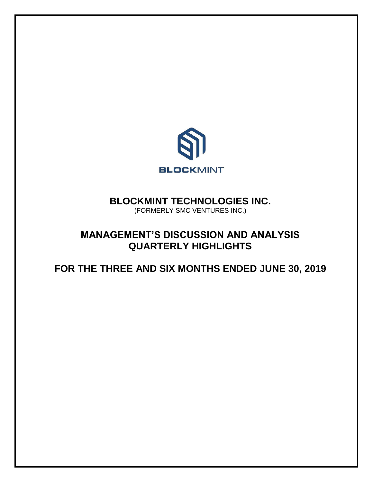

# **BLOCKMINT TECHNOLOGIES INC.**

(FORMERLY SMC VENTURES INC.)

# **MANAGEMENT'S DISCUSSION AND ANALYSIS QUARTERLY HIGHLIGHTS**

**FOR THE THREE AND SIX MONTHS ENDED JUNE 30, 2019**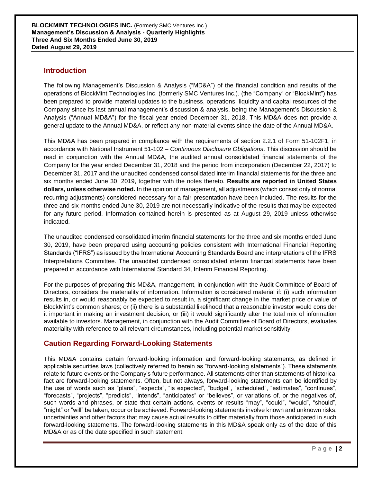## **Introduction**

The following Management's Discussion & Analysis ("MD&A") of the financial condition and results of the operations of BlockMint Technologies Inc. (formerly SMC Ventures Inc.). (the "Company" or "BlockMint") has been prepared to provide material updates to the business, operations, liquidity and capital resources of the Company since its last annual management's discussion & analysis, being the Management's Discussion & Analysis ("Annual MD&A") for the fiscal year ended December 31, 2018. This MD&A does not provide a general update to the Annual MD&A, or reflect any non-material events since the date of the Annual MD&A.

This MD&A has been prepared in compliance with the requirements of section 2.2.1 of Form 51-102F1, in accordance with National Instrument 51-102 – *Continuous Disclosure Obligations*. This discussion should be read in conjunction with the Annual MD&A, the audited annual consolidated financial statements of the Company for the year ended December 31, 2018 and the period from incorporation (December 22, 2017) to December 31, 2017 and the unaudited condensed consolidated interim financial statements for the three and six months ended June 30, 2019, together with the notes thereto. **Results are reported in United States dollars, unless otherwise noted.** In the opinion of management, all adjustments (which consist only of normal recurring adjustments) considered necessary for a fair presentation have been included. The results for the three and six months ended June 30, 2019 are not necessarily indicative of the results that may be expected for any future period. Information contained herein is presented as at August 29, 2019 unless otherwise indicated.

The unaudited condensed consolidated interim financial statements for the three and six months ended June 30, 2019, have been prepared using accounting policies consistent with International Financial Reporting Standards ("IFRS") as issued by the International Accounting Standards Board and interpretations of the IFRS Interpretations Committee. The unaudited condensed consolidated interim financial statements have been prepared in accordance with International Standard 34, Interim Financial Reporting.

For the purposes of preparing this MD&A, management, in conjunction with the Audit Committee of Board of Directors, considers the materiality of information. Information is considered material if: (i) such information results in, or would reasonably be expected to result in, a significant change in the market price or value of BlockMint's common shares; or (ii) there is a substantial likelihood that a reasonable investor would consider it important in making an investment decision; or (iii) it would significantly alter the total mix of information available to investors. Management, in conjunction with the Audit Committee of Board of Directors, evaluates materiality with reference to all relevant circumstances, including potential market sensitivity.

# **Caution Regarding Forward-Looking Statements**

This MD&A contains certain forward-looking information and forward-looking statements, as defined in applicable securities laws (collectively referred to herein as "forward-looking statements"). These statements relate to future events or the Company's future performance. All statements other than statements of historical fact are forward-looking statements. Often, but not always, forward-looking statements can be identified by the use of words such as "plans", "expects", "is expected", "budget", "scheduled", "estimates", "continues", "forecasts", "projects", "predicts", "intends", "anticipates" or "believes", or variations of, or the negatives of, such words and phrases, or state that certain actions, events or results "may", "could", "would", "should", "might" or "will" be taken, occur or be achieved. Forward-looking statements involve known and unknown risks, uncertainties and other factors that may cause actual results to differ materially from those anticipated in such forward-looking statements. The forward-looking statements in this MD&A speak only as of the date of this MD&A or as of the date specified in such statement.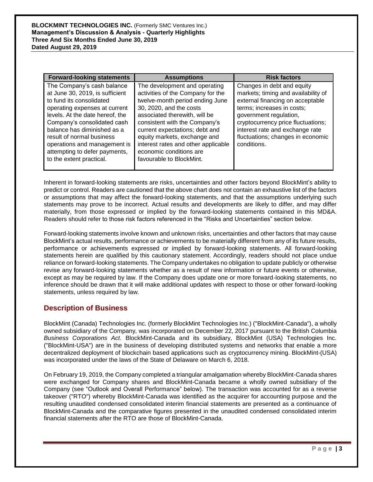| <b>Forward-looking statements</b>                                                                                                                                                                                                                                                                                                                     | <b>Assumptions</b>                                                                                                                                                                                                                                                                                                                                                 | <b>Risk factors</b>                                                                                                                                                                                                                                                                        |
|-------------------------------------------------------------------------------------------------------------------------------------------------------------------------------------------------------------------------------------------------------------------------------------------------------------------------------------------------------|--------------------------------------------------------------------------------------------------------------------------------------------------------------------------------------------------------------------------------------------------------------------------------------------------------------------------------------------------------------------|--------------------------------------------------------------------------------------------------------------------------------------------------------------------------------------------------------------------------------------------------------------------------------------------|
| The Company's cash balance<br>at June 30, 2019, is sufficient<br>to fund its consolidated<br>operating expenses at current<br>levels. At the date hereof, the<br>Company's consolidated cash<br>balance has diminished as a<br>result of normal business<br>operations and management is<br>attempting to defer payments,<br>to the extent practical. | The development and operating<br>activities of the Company for the<br>twelve-month period ending June<br>30, 2020, and the costs<br>associated therewith, will be<br>consistent with the Company's<br>current expectations; debt and<br>equity markets, exchange and<br>interest rates and other applicable<br>economic conditions are<br>favourable to BlockMint. | Changes in debt and equity<br>markets; timing and availability of<br>external financing on acceptable<br>terms; increases in costs;<br>government regulation,<br>cryptocurrency price fluctuations;<br>interest rate and exchange rate<br>fluctuations; changes in economic<br>conditions. |

Inherent in forward-looking statements are risks, uncertainties and other factors beyond BlockMint's ability to predict or control. Readers are cautioned that the above chart does not contain an exhaustive list of the factors or assumptions that may affect the forward-looking statements, and that the assumptions underlying such statements may prove to be incorrect. Actual results and developments are likely to differ, and may differ materially, from those expressed or implied by the forward-looking statements contained in this MD&A. Readers should refer to those risk factors referenced in the "Risks and Uncertainties" section below.

Forward-looking statements involve known and unknown risks, uncertainties and other factors that may cause BlockMint's actual results, performance or achievements to be materially different from any of its future results, performance or achievements expressed or implied by forward-looking statements. All forward-looking statements herein are qualified by this cautionary statement. Accordingly, readers should not place undue reliance on forward-looking statements. The Company undertakes no obligation to update publicly or otherwise revise any forward-looking statements whether as a result of new information or future events or otherwise, except as may be required by law. If the Company does update one or more forward-looking statements, no inference should be drawn that it will make additional updates with respect to those or other forward-looking statements, unless required by law.

# **Description of Business**

BlockMint (Canada) Technologies Inc. (formerly BlockMint Technologies Inc.) ("BlockMint-Canada"), a wholly owned subsidiary of the Company, was incorporated on December 22, 2017 pursuant to the British Columbia *Business Corporations Act*. BlockMint-Canada and its subsidiary, BlockMint (USA) Technologies Inc. ("BlockMint-USA") are in the business of developing distributed systems and networks that enable a more decentralized deployment of blockchain based applications such as cryptocurrency mining. BlockMint-(USA) was incorporated under the laws of the State of Delaware on March 6, 2018.

On February 19, 2019, the Company completed a triangular amalgamation whereby BlockMint-Canada shares were exchanged for Company shares and BlockMint-Canada became a wholly owned subsidiary of the Company (see "Outlook and Overall Performance" below). The transaction was accounted for as a reverse takeover ("RTO") whereby BlockMint-Canada was identified as the acquirer for accounting purpose and the resulting unaudited condensed consolidated interim financial statements are presented as a continuance of BlockMint-Canada and the comparative figures presented in the unaudited condensed consolidated interim financial statements after the RTO are those of BlockMint-Canada.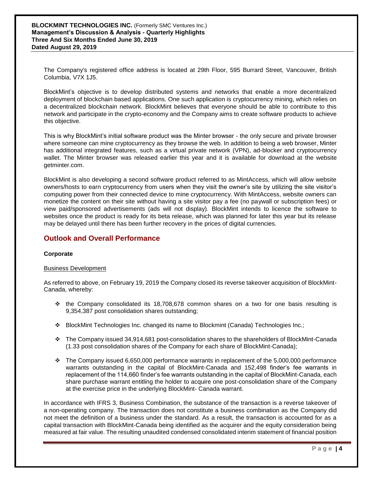The Company's registered office address is located at 29th Floor, 595 Burrard Street, Vancouver, British Columbia, V7X 1J5.

BlockMint's objective is to develop distributed systems and networks that enable a more decentralized deployment of blockchain based applications. One such application is cryptocurrency mining, which relies on a decentralized blockchain network. BlockMint believes that everyone should be able to contribute to this network and participate in the crypto-economy and the Company aims to create software products to achieve this objective.

This is why BlockMint's initial software product was the Minter browser - the only secure and private browser where someone can mine cryptocurrency as they browse the web. In addition to being a web browser, Minter has additional integrated features, such as a virtual private network (VPN), ad-blocker and cryptocurrency wallet. The Minter browser was released earlier this year and it is available for download at the website getminter.com.

BlockMint is also developing a second software product referred to as MintAccess, which will allow website owners/hosts to earn cryptocurrency from users when they visit the owner's site by utilizing the site visitor's computing power from their connected device to mine cryptocurrency. With MintAccess, website owners can monetize the content on their site without having a site visitor pay a fee (no paywall or subscription fees) or view paid/sponsored advertisements (ads will not display). BlockMint intends to licence the software to websites once the product is ready for its beta release, which was planned for later this year but its release may be delayed until there has been further recovery in the prices of digital currencies.

# **Outlook and Overall Performance**

## **Corporate**

### Business Development

As referred to above, on February 19, 2019 the Company closed its reverse takeover acquisition of BlockMint-Canada, whereby:

- $\cdot \cdot$  the Company consolidated its 18,708,678 common shares on a two for one basis resulting is 9,354,387 post consolidation shares outstanding;
- BlockMint Technologies Inc. changed its name to Blockmint (Canada) Technologies Inc.;
- The Company issued 34,914,681 post-consolidation shares to the shareholders of BlockMint-Canada (1.33 post consolidation shares of the Company for each share of BlockMint-Canada);
- $\cdot \cdot$  The Company issued 6,650,000 performance warrants in replacement of the 5,000,000 performance warrants outstanding in the capital of BlockMint-Canada and 152,498 finder's fee warrants in replacement of the 114,660 finder's fee warrants outstanding in the capital of BlockMint-Canada, each share purchase warrant entitling the holder to acquire one post-consolidation share of the Company at the exercise price in the underlying BlockMint- Canada warrant.

In accordance with IFRS 3, Business Combination, the substance of the transaction is a reverse takeover of a non-operating company. The transaction does not constitute a business combination as the Company did not meet the definition of a business under the standard. As a result, the transaction is accounted for as a capital transaction with BlockMint-Canada being identified as the acquirer and the equity consideration being measured at fair value. The resulting unaudited condensed consolidated interim statement of financial position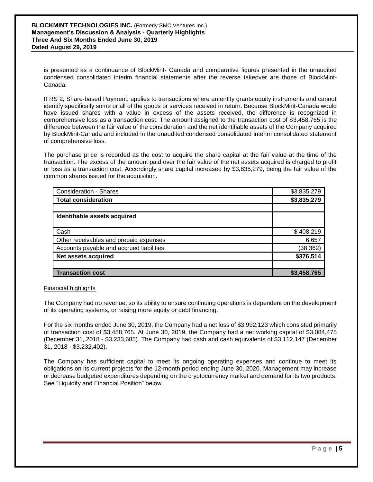is presented as a continuance of BlockMint- Canada and comparative figures presented in the unaudited condensed consolidated interim financial statements after the reverse takeover are those of BlockMint-Canada.

IFRS 2, Share-based Payment, applies to transactions where an entity grants equity instruments and cannot identify specifically some or all of the goods or services received in return. Because BlockMint-Canada would have issued shares with a value in excess of the assets received, the difference is recognized in comprehensive loss as a transaction cost. The amount assigned to the transaction cost of \$3,458,765 is the difference between the fair value of the consideration and the net identifiable assets of the Company acquired by BlockMint-Canada and included in the unaudited condensed consolidated interim consolidated statement of comprehensive loss.

The purchase price is recorded as the cost to acquire the share capital at the fair value at the time of the transaction. The excess of the amount paid over the fair value of the net assets acquired is charged to profit or loss as a transaction cost. Accordingly share capital increased by \$3,835,279, being the fair value of the common shares issued for the acquisition.

| <b>Consideration - Shares</b>            | \$3,835,279 |
|------------------------------------------|-------------|
| <b>Total consideration</b>               | \$3,835,279 |
|                                          |             |
| Identifiable assets acquired             |             |
|                                          |             |
| Cash                                     | \$408,219   |
| Other receivables and prepaid expenses   | 6,657       |
| Accounts payable and accrued liabilities | (38, 362)   |
| Net assets acquired                      | \$376,514   |
|                                          |             |
| <b>Transaction cost</b>                  | \$3,458,765 |

Financial highlights

The Company had no revenue, so its ability to ensure continuing operations is dependent on the development of its operating systems, or raising more equity or debt financing.

For the six months ended June 30, 2019, the Company had a net loss of \$3,992,123 which consisted primarily of transaction cost of \$3,458,765. At June 30, 2019, the Company had a net working capital of \$3,084,475 (December 31, 2018 - \$3,233,685). The Company had cash and cash equivalents of \$3,112,147 (December 31, 2018 - \$3,232,402).

The Company has sufficient capital to meet its ongoing operating expenses and continue to meet its obligations on its current projects for the 12-month period ending June 30, 2020. Management may increase or decrease budgeted expenditures depending on the cryptocurrency market and demand for its two products. See "Liquidity and Financial Position" below.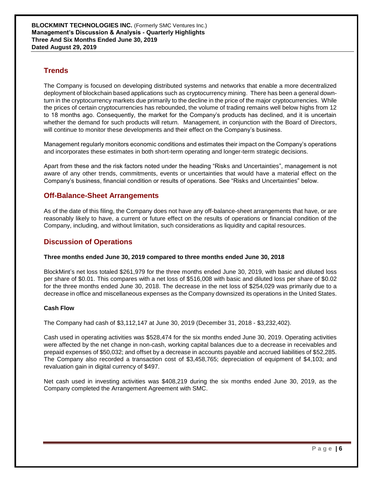# **Trends**

The Company is focused on developing distributed systems and networks that enable a more decentralized deployment of blockchain based applications such as cryptocurrency mining. There has been a general downturn in the cryptocurrency markets due primarily to the decline in the price of the major cryptocurrencies. While the prices of certain cryptocurrencies has rebounded, the volume of trading remains well below highs from 12 to 18 months ago. Consequently, the market for the Company's products has declined, and it is uncertain whether the demand for such products will return. Management, in conjunction with the Board of Directors, will continue to monitor these developments and their effect on the Company's business.

Management regularly monitors economic conditions and estimates their impact on the Company's operations and incorporates these estimates in both short-term operating and longer-term strategic decisions.

Apart from these and the risk factors noted under the heading "Risks and Uncertainties", management is not aware of any other trends, commitments, events or uncertainties that would have a material effect on the Company's business, financial condition or results of operations. See "Risks and Uncertainties" below.

## **Off-Balance-Sheet Arrangements**

As of the date of this filing, the Company does not have any off-balance-sheet arrangements that have, or are reasonably likely to have, a current or future effect on the results of operations or financial condition of the Company, including, and without limitation, such considerations as liquidity and capital resources.

## **Discussion of Operations**

### **Three months ended June 30, 2019 compared to three months ended June 30, 2018**

BlockMint's net loss totaled \$261,979 for the three months ended June 30, 2019, with basic and diluted loss per share of \$0.01. This compares with a net loss of \$516,008 with basic and diluted loss per share of \$0.02 for the three months ended June 30, 2018. The decrease in the net loss of \$254,029 was primarily due to a decrease in office and miscellaneous expenses as the Company downsized its operations in the United States.

## **Cash Flow**

The Company had cash of \$3,112,147 at June 30, 2019 (December 31, 2018 - \$3,232,402).

Cash used in operating activities was \$528,474 for the six months ended June 30, 2019. Operating activities were affected by the net change in non-cash, working capital balances due to a decrease in receivables and prepaid expenses of \$50,032; and offset by a decrease in accounts payable and accrued liabilities of \$52,285. The Company also recorded a transaction cost of \$3,458,765; depreciation of equipment of \$4,103; and revaluation gain in digital currency of \$497.

Net cash used in investing activities was \$408,219 during the six months ended June 30, 2019, as the Company completed the Arrangement Agreement with SMC.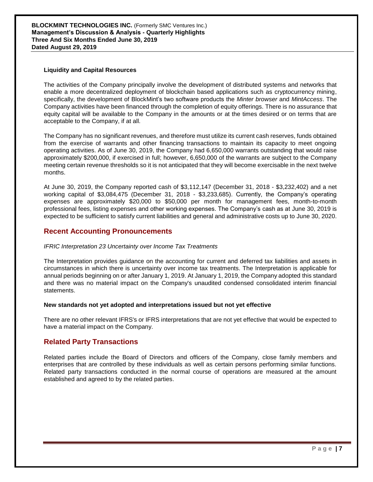**BLOCKMINT TECHNOLOGIES INC.** (Formerly SMC Ventures Inc.) **Management's Discussion & Analysis - Quarterly Highlights Three And Six Months Ended June 30, 2019 Dated August 29, 2019**

### **Liquidity and Capital Resources**

The activities of the Company principally involve the development of distributed systems and networks that enable a more decentralized deployment of blockchain based applications such as cryptocurrency mining, specifically, the development of BlockMint's two software products the *Minter browser* and *MintAccess*. The Company activities have been financed through the completion of equity offerings. There is no assurance that equity capital will be available to the Company in the amounts or at the times desired or on terms that are acceptable to the Company, if at all.

The Company has no significant revenues, and therefore must utilize its current cash reserves, funds obtained from the exercise of warrants and other financing transactions to maintain its capacity to meet ongoing operating activities. As of June 30, 2019, the Company had 6,650,000 warrants outstanding that would raise approximately \$200,000, if exercised in full; however, 6,650,000 of the warrants are subject to the Company meeting certain revenue thresholds so it is not anticipated that they will become exercisable in the next twelve months.

At June 30, 2019, the Company reported cash of \$3,112,147 (December 31, 2018 - \$3,232,402) and a net working capital of \$3,084,475 (December 31, 2018 - \$3,233,685). Currently, the Company's operating expenses are approximately \$20,000 to \$50,000 per month for management fees, month-to-month professional fees, listing expenses and other working expenses. The Company's cash as at June 30, 2019 is expected to be sufficient to satisfy current liabilities and general and administrative costs up to June 30, 2020.

## **Recent Accounting Pronouncements**

### *IFRIC Interpretation 23 Uncertainty over Income Tax Treatments*

The Interpretation provides guidance on the accounting for current and deferred tax liabilities and assets in circumstances in which there is uncertainty over income tax treatments. The Interpretation is applicable for annual periods beginning on or after January 1, 2019. At January 1, 2019, the Company adopted this standard and there was no material impact on the Company's unaudited condensed consolidated interim financial statements.

#### **New standards not yet adopted and interpretations issued but not yet effective**

There are no other relevant IFRS's or IFRS interpretations that are not yet effective that would be expected to have a material impact on the Company.

## **Related Party Transactions**

Related parties include the Board of Directors and officers of the Company, close family members and enterprises that are controlled by these individuals as well as certain persons performing similar functions. Related party transactions conducted in the normal course of operations are measured at the amount established and agreed to by the related parties.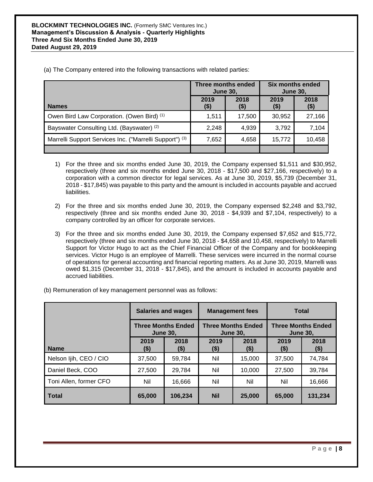|                                                         | Three months ended<br><b>June 30,</b> |              | Six months ended<br><b>June 30,</b> |                 |
|---------------------------------------------------------|---------------------------------------|--------------|-------------------------------------|-----------------|
| <b>Names</b>                                            | 2019<br>$($ \$)                       | 2018<br>(\$) | 2019<br>$($ \$)                     | 2018<br>$($ \$) |
| Owen Bird Law Corporation. (Owen Bird) (1)              | 1,511                                 | 17,500       | 30,952                              | 27,166          |
| Bayswater Consulting Ltd. (Bayswater) (2)               | 2,248                                 | 4,939        | 3,792                               | 7,104           |
| Marrelli Support Services Inc. ("Marrelli Support") (3) | 7,652                                 | 4,658        | 15,772                              | 10,458          |
|                                                         |                                       |              |                                     |                 |

(a) The Company entered into the following transactions with related parties:

- 1) For the three and six months ended June 30, 2019, the Company expensed \$1,511 and \$30,952, respectively (three and six months ended June 30, 2018 - \$17,500 and \$27,166, respectively) to a corporation with a common director for legal services. As at June 30, 2019, \$5,739 (December 31, 2018 - \$17,845) was payable to this party and the amount is included in accounts payable and accrued liabilities.
- 2) For the three and six months ended June 30, 2019, the Company expensed \$2,248 and \$3,792, respectively (three and six months ended June 30, 2018 - \$4,939 and \$7,104, respectively) to a company controlled by an officer for corporate services.
- 3) For the three and six months ended June 30, 2019, the Company expensed \$7,652 and \$15,772, respectively (three and six months ended June 30, 2018 - \$4,658 and 10,458, respectively) to Marrelli Support for Victor Hugo to act as the Chief Financial Officer of the Company and for bookkeeping services. Victor Hugo is an employee of Marrelli. These services were incurred in the normal course of operations for general accounting and financial reporting matters. As at June 30, 2019, Marrelli was owed \$1,315 (December 31, 2018 - \$17,845), and the amount is included in accounts payable and accrued liabilities.

|                        | <b>Salaries and wages</b> |                           | <b>Management fees</b> |                                              | <b>Total</b>    |                           |
|------------------------|---------------------------|---------------------------|------------------------|----------------------------------------------|-----------------|---------------------------|
|                        | <b>June 30,</b>           | <b>Three Months Ended</b> |                        | <b>Three Months Ended</b><br><b>June 30.</b> | <b>June 30,</b> | <b>Three Months Ended</b> |
| <b>Name</b>            | 2019<br>(\$)              | 2018<br>$($)$             | 2019<br>$($ \$)        | 2018<br>$($ \$)                              | 2019<br>(\$)    | 2018<br>$($ \$)           |
| Nelson Ijih, CEO / CIO | 37,500                    | 59,784                    | Nil                    | 15,000                                       | 37,500          | 74,784                    |
| Daniel Beck, COO       | 27,500                    | 29,784                    | Nil                    | 10,000                                       | 27,500          | 39,784                    |
| Toni Allen, former CFO | Nil                       | 16,666                    | Nil                    | Nil                                          | Nil             | 16,666                    |
| <b>Total</b>           | 65,000                    | 106,234                   | <b>Nil</b>             | 25,000                                       | 65,000          | 131,234                   |

(b) Remuneration of key management personnel was as follows: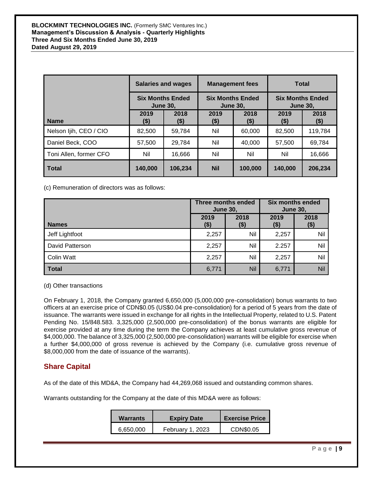|                        | <b>Salaries and wages</b> |                         | <b>Management fees</b>                     |                 | <b>Total</b>    |                         |
|------------------------|---------------------------|-------------------------|--------------------------------------------|-----------------|-----------------|-------------------------|
|                        | <b>June 30.</b>           | <b>Six Months Ended</b> | <b>Six Months Ended</b><br><b>June 30.</b> |                 | <b>June 30.</b> | <b>Six Months Ended</b> |
| <b>Name</b>            | 2019<br>(\$)              | 2018<br>(\$)            | 2019<br>$($ \$)                            | 2018<br>$($ \$) | 2019<br>$($ \$) | 2018<br>$($ \$)         |
| Nelson Ijih, CEO / CIO | 82,500                    | 59,784                  | Nil                                        | 60,000          | 82,500          | 119,784                 |
| Daniel Beck, COO       | 57,500                    | 29,784                  | Nil                                        | 40,000          | 57,500          | 69,784                  |
| Toni Allen, former CFO | Nil                       | 16,666                  | Nil                                        | Nil             | Nil             | 16,666                  |
| <b>Total</b>           | 140,000                   | 106,234                 | <b>Nil</b>                                 | 100.000         | 140,000         | 206.234                 |

(c) Remuneration of directors was as follows:

|                   | Three months ended<br><b>June 30,</b> |                | <b>Six months ended</b><br><b>June 30,</b> |                 |
|-------------------|---------------------------------------|----------------|--------------------------------------------|-----------------|
| <b>Names</b>      | 2019<br>$($ \$)                       | 2018<br>( \$ ) | 2019<br>(\$)                               | 2018<br>$($ \$) |
| Jeff Lightfoot    | 2,257                                 | Nil            | 2,257                                      | Nil             |
| David Patterson   | 2,257                                 | Nil            | 2.257                                      | Nil             |
| <b>Colin Watt</b> | 2,257                                 | Nil            | 2,257                                      | Nil             |
| <b>Total</b>      | 6,771                                 | <b>Nil</b>     | 6,771                                      | Nil             |

(d) Other transactions

On February 1, 2018, the Company granted 6,650,000 (5,000,000 pre-consolidation) bonus warrants to two officers at an exercise price of CDN\$0.05 (US\$0.04 pre-consolidation) for a period of 5 years from the date of issuance. The warrants were issued in exchange for all rights in the Intellectual Property, related to U.S. Patent Pending No. 15/848.583. 3,325,000 (2,500,000 pre-consolidation) of the bonus warrants are eligible for exercise provided at any time during the term the Company achieves at least cumulative gross revenue of \$4,000,000. The balance of 3,325,000 (2,500,000 pre-consolidation) warrants will be eligible for exercise when a further \$4,000,000 of gross revenue is achieved by the Company (i.e. cumulative gross revenue of \$8,000,000 from the date of issuance of the warrants).

# **Share Capital**

As of the date of this MD&A, the Company had 44,269,068 issued and outstanding common shares.

Warrants outstanding for the Company at the date of this MD&A were as follows:

| <b>Warrants</b> | <b>Expiry Date</b> | <b>Exercise Price</b> |
|-----------------|--------------------|-----------------------|
| 6.650.000       | February 1, 2023   | CDN\$0.05             |